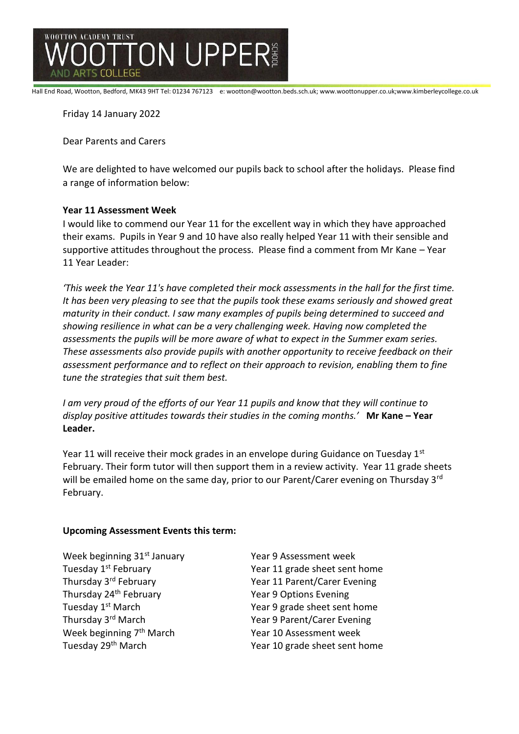

Hall End Road, Wootton, Bedford, MK43 9HT Tel: 01234 767123 e: wootton@wootton.beds.sch.uk; www.woottonupper.co.uk;www.kimberleycollege.co.uk

Friday 14 January 2022

Dear Parents and Carers

We are delighted to have welcomed our pupils back to school after the holidays. Please find a range of information below:

## **Year 11 Assessment Week**

I would like to commend our Year 11 for the excellent way in which they have approached their exams. Pupils in Year 9 and 10 have also really helped Year 11 with their sensible and supportive attitudes throughout the process. Please find a comment from Mr Kane – Year 11 Year Leader:

*'This week the Year 11's have completed their mock assessments in the hall for the first time. It has been very pleasing to see that the pupils took these exams seriously and showed great maturity in their conduct. I saw many examples of pupils being determined to succeed and showing resilience in what can be a very challenging week. Having now completed the assessments the pupils will be more aware of what to expect in the Summer exam series. These assessments also provide pupils with another opportunity to receive feedback on their assessment performance and to reflect on their approach to revision, enabling them to fine tune the strategies that suit them best.*

*I am very proud of the efforts of our Year 11 pupils and know that they will continue to display positive attitudes towards their studies in the coming months.'* **Mr Kane – Year Leader.**

Year 11 will receive their mock grades in an envelope during Guidance on Tuesday 1st February. Their form tutor will then support them in a review activity. Year 11 grade sheets will be emailed home on the same day, prior to our Parent/Carer evening on Thursday 3<sup>rd</sup> February.

### **Upcoming Assessment Events this term:**

Week beginning 31<sup>st</sup> January Year 9 Assessment week Thursday 24<sup>th</sup> February Thursday 24<sup>th</sup> February Thursday 3<sup>rd</sup> March Year 9 Parent/Carer Evening Week beginning 7<sup>th</sup> March Year 10 Assessment week

Tuesday 1<sup>st</sup> February Tuesday 1<sup>st</sup> February Thursday 3<sup>rd</sup> February 70 100 Year 11 Parent/Carer Evening Tuesday 1<sup>st</sup> March Year 9 grade sheet sent home Tuesday 29<sup>th</sup> March Year 10 grade sheet sent home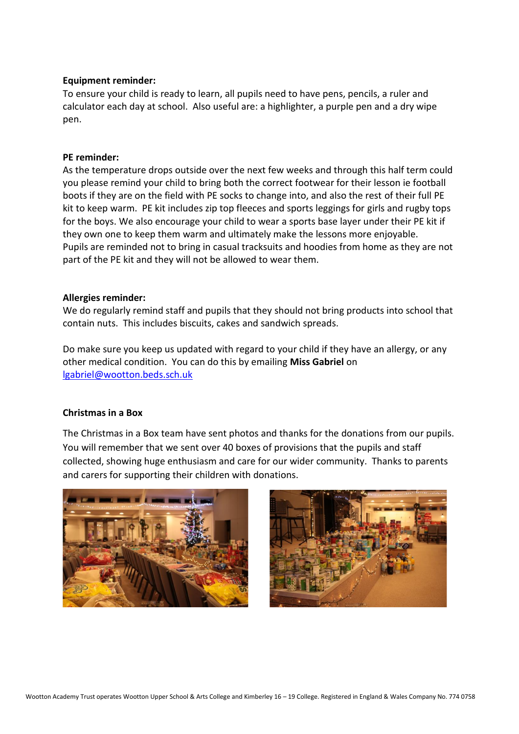## **Equipment reminder:**

To ensure your child is ready to learn, all pupils need to have pens, pencils, a ruler and calculator each day at school. Also useful are: a highlighter, a purple pen and a dry wipe pen.

### **PE reminder:**

As the temperature drops outside over the next few weeks and through this half term could you please remind your child to bring both the correct footwear for their lesson ie football boots if they are on the field with PE socks to change into, and also the rest of their full PE kit to keep warm. PE kit includes zip top fleeces and sports leggings for girls and rugby tops for the boys. We also encourage your child to wear a sports base layer under their PE kit if they own one to keep them warm and ultimately make the lessons more enjoyable. Pupils are reminded not to bring in casual tracksuits and hoodies from home as they are not part of the PE kit and they will not be allowed to wear them.

### **Allergies reminder:**

We do regularly remind staff and pupils that they should not bring products into school that contain nuts. This includes biscuits, cakes and sandwich spreads.

Do make sure you keep us updated with regard to your child if they have an allergy, or any other medical condition. You can do this by emailing **Miss Gabriel** on [lgabriel@wootton.beds.sch.uk](mailto:lgabriel@wootton.beds.sch.uk)

## **Christmas in a Box**

The Christmas in a Box team have sent photos and thanks for the donations from our pupils. You will remember that we sent over 40 boxes of provisions that the pupils and staff collected, showing huge enthusiasm and care for our wider community. Thanks to parents and carers for supporting their children with donations.



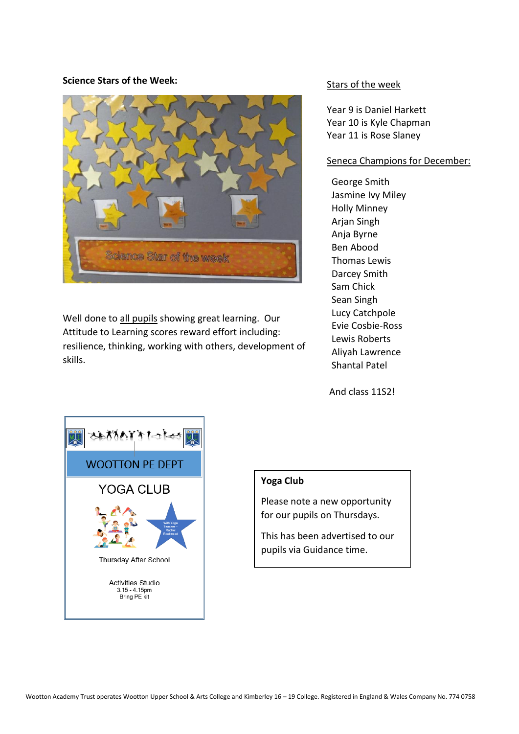### **Science Stars of the Week:**



Well done to all pupils showing great learning. Our Attitude to Learning scores reward effort including: resilience, thinking, working with others, development of skills.

### Stars of the week

Year 9 is Daniel Harkett Year 10 is Kyle Chapman Year 11 is Rose Slaney

### Seneca Champions for December:

George Smith Jasmine Ivy Miley Holly Minney Arjan Singh Anja Byrne Ben Abood Thomas Lewis Darcey Smith Sam Chick Sean Singh Lucy Catchpole Evie Cosbie-Ross Lewis Roberts Aliyah Lawrence Shantal Patel

And class 11S2!



### **Yoga Club**

Please note a new opportunity for our pupils on Thursdays.

This has been advertised to our pupils via Guidance time.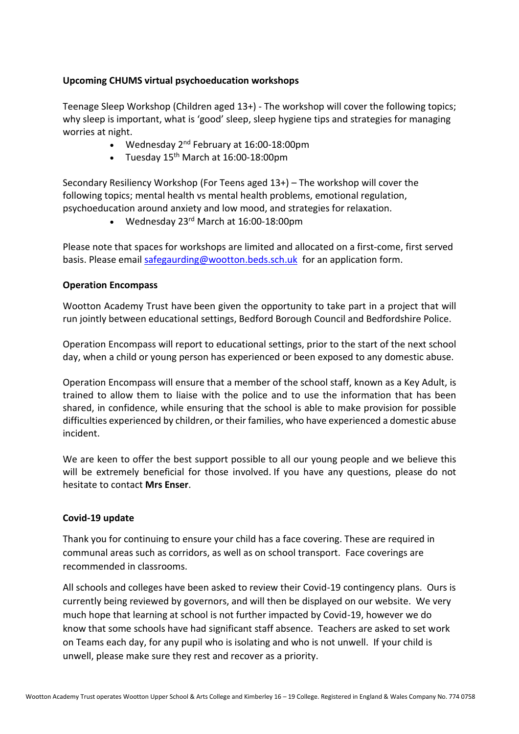# **Upcoming CHUMS virtual psychoeducation workshops**

Teenage Sleep Workshop (Children aged 13+) - The workshop will cover the following topics; why sleep is important, what is 'good' sleep, sleep hygiene tips and strategies for managing worries at night.

- Wednesday 2<sup>nd</sup> February at 16:00-18:00pm
- Tuesday  $15<sup>th</sup>$  March at  $16:00-18:00$ pm

Secondary Resiliency Workshop (For Teens aged 13+) – The workshop will cover the following topics; mental health vs mental health problems, emotional regulation, psychoeducation around anxiety and low mood, and strategies for relaxation.

• Wednesday 23rd March at 16:00-18:00pm

Please note that spaces for workshops are limited and allocated on a first-come, first served basis. Please email [safegaurding@wootton.beds.sch.uk](mailto:safegaurding@wootton.beds.sch.uk) for an application form.

## **Operation Encompass**

Wootton Academy Trust have been given the opportunity to take part in a project that will run jointly between educational settings, Bedford Borough Council and Bedfordshire Police.

Operation Encompass will report to educational settings, prior to the start of the next school day, when a child or young person has experienced or been exposed to any domestic abuse.

Operation Encompass will ensure that a member of the school staff, known as a Key Adult, is trained to allow them to liaise with the police and to use the information that has been shared, in confidence, while ensuring that the school is able to make provision for possible difficulties experienced by children, or their families, who have experienced a domestic abuse incident.

We are keen to offer the best support possible to all our young people and we believe this will be extremely beneficial for those involved. If you have any questions, please do not hesitate to contact **Mrs Enser**.

## **Covid-19 update**

Thank you for continuing to ensure your child has a face covering. These are required in communal areas such as corridors, as well as on school transport. Face coverings are recommended in classrooms.

All schools and colleges have been asked to review their Covid-19 contingency plans. Ours is currently being reviewed by governors, and will then be displayed on our website. We very much hope that learning at school is not further impacted by Covid-19, however we do know that some schools have had significant staff absence. Teachers are asked to set work on Teams each day, for any pupil who is isolating and who is not unwell. If your child is unwell, please make sure they rest and recover as a priority.